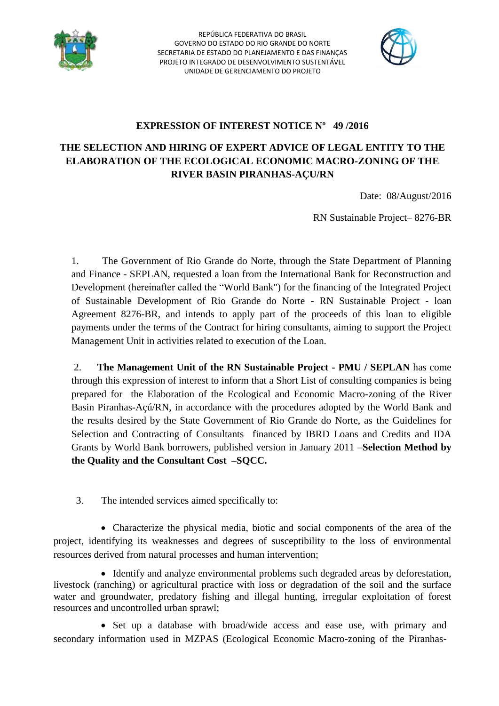



### **EXPRESSION OF INTEREST NOTICE Nº 49 /2016**

## **THE SELECTION AND HIRING OF EXPERT ADVICE OF LEGAL ENTITY TO THE ELABORATION OF THE ECOLOGICAL ECONOMIC MACRO-ZONING OF THE RIVER BASIN PIRANHAS-AÇU/RN**

Date: 08/August/2016

RN Sustainable Project– 8276-BR

1. The Government of Rio Grande do Norte, through the State Department of Planning and Finance - SEPLAN, requested a loan from the International Bank for Reconstruction and Development (hereinafter called the "World Bank") for the financing of the Integrated Project of Sustainable Development of Rio Grande do Norte - RN Sustainable Project - loan Agreement 8276-BR, and intends to apply part of the proceeds of this loan to eligible payments under the terms of the Contract for hiring consultants, aiming to support the Project Management Unit in activities related to execution of the Loan.

2. **The Management Unit of the RN Sustainable Project - PMU / SEPLAN** has come through this expression of interest to inform that a Short List of consulting companies is being prepared for the Elaboration of the Ecological and Economic Macro-zoning of the River Basin Piranhas-Açú/RN, in accordance with the procedures adopted by the World Bank and the results desired by the State Government of Rio Grande do Norte, as the Guidelines for Selection and Contracting of Consultants financed by IBRD Loans and Credits and IDA Grants by World Bank borrowers, published version in January 2011 –**Selection Method by the Quality and the Consultant Cost –SQCC.**

3. The intended services aimed specifically to:

 Characterize the physical media, biotic and social components of the area of the project, identifying its weaknesses and degrees of susceptibility to the loss of environmental resources derived from natural processes and human intervention;

• Identify and analyze environmental problems such degraded areas by deforestation, livestock (ranching) or agricultural practice with loss or degradation of the soil and the surface water and groundwater, predatory fishing and illegal hunting, irregular exploitation of forest resources and uncontrolled urban sprawl;

• Set up a database with broad/wide access and ease use, with primary and secondary information used in MZPAS (Ecological Economic Macro-zoning of the Piranhas-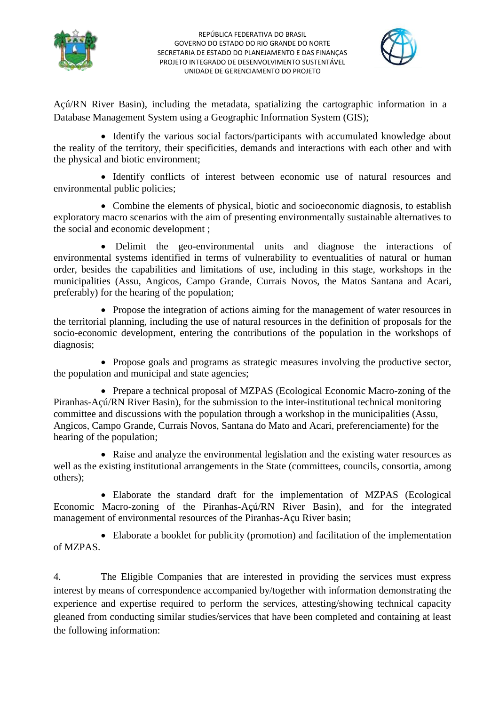



Açú/RN River Basin), including the metadata, spatializing the cartographic information in a Database Management System using a Geographic Information System (GIS);

• Identify the various social factors/participants with accumulated knowledge about the reality of the territory, their specificities, demands and interactions with each other and with the physical and biotic environment;

 Identify conflicts of interest between economic use of natural resources and environmental public policies;

 Combine the elements of physical, biotic and socioeconomic diagnosis, to establish exploratory macro scenarios with the aim of presenting environmentally sustainable alternatives to the social and economic development ;

 Delimit the geo-environmental units and diagnose the interactions of environmental systems identified in terms of vulnerability to eventualities of natural or human order, besides the capabilities and limitations of use, including in this stage, workshops in the municipalities (Assu, Angicos, Campo Grande, Currais Novos, the Matos Santana and Acari, preferably) for the hearing of the population;

• Propose the integration of actions aiming for the management of water resources in the territorial planning, including the use of natural resources in the definition of proposals for the socio-economic development, entering the contributions of the population in the workshops of diagnosis;

• Propose goals and programs as strategic measures involving the productive sector, the population and municipal and state agencies;

• Prepare a technical proposal of MZPAS (Ecological Economic Macro-zoning of the Piranhas-Açú/RN River Basin), for the submission to the inter-institutional technical monitoring committee and discussions with the population through a workshop in the municipalities (Assu, Angicos, Campo Grande, Currais Novos, Santana do Mato and Acari, preferenciamente) for the hearing of the population;

 Raise and analyze the environmental legislation and the existing water resources as well as the existing institutional arrangements in the State (committees, councils, consortia, among others);

 Elaborate the standard draft for the implementation of MZPAS (Ecological Economic Macro-zoning of the Piranhas-Açú/RN River Basin), and for the integrated management of environmental resources of the Piranhas-Açu River basin;

 Elaborate a booklet for publicity (promotion) and facilitation of the implementation of MZPAS.

4. The Eligible Companies that are interested in providing the services must express interest by means of correspondence accompanied by/together with information demonstrating the experience and expertise required to perform the services, attesting/showing technical capacity gleaned from conducting similar studies/services that have been completed and containing at least the following information: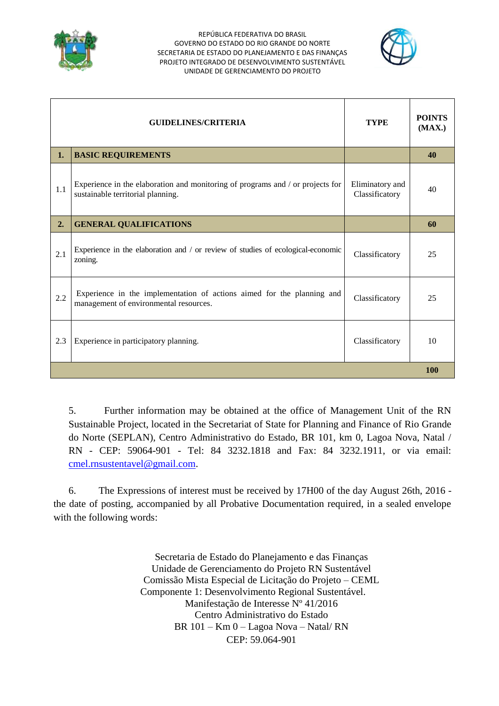



|     | <b>GUIDELINES/CRITERIA</b>                                                                                          | <b>TYPE</b>                       | <b>POINTS</b><br>(MAX.) |
|-----|---------------------------------------------------------------------------------------------------------------------|-----------------------------------|-------------------------|
| 1.  | <b>BASIC REQUIREMENTS</b>                                                                                           |                                   | 40                      |
| 1.1 | Experience in the elaboration and monitoring of programs and / or projects for<br>sustainable territorial planning. | Eliminatory and<br>Classificatory | 40                      |
| 2.  | <b>GENERAL QUALIFICATIONS</b>                                                                                       |                                   | 60                      |
| 2.1 | Experience in the elaboration and / or review of studies of ecological-economic<br>zoning.                          | Classificatory                    | 25                      |
| 2.2 | Experience in the implementation of actions aimed for the planning and<br>management of environmental resources.    | Classificatory                    | 25                      |
| 2.3 | Experience in participatory planning.                                                                               | Classificatory                    | 10                      |
|     |                                                                                                                     |                                   |                         |

5. Further information may be obtained at the office of Management Unit of the RN Sustainable Project, located in the Secretariat of State for Planning and Finance of Rio Grande do Norte (SEPLAN), Centro Administrativo do Estado, BR 101, km 0, Lagoa Nova, Natal / RN - CEP: 59064-901 - Tel: 84 3232.1818 and Fax: 84 3232.1911, or via email: [cmel.rnsustentavel@gmail.com.](mailto:cmel.rnsustentavel@gmail.com)

 6. The Expressions of interest must be received by 17H00 of the day August 26th, 2016 the date of posting, accompanied by all Probative Documentation required, in a sealed envelope with the following words:

> Secretaria de Estado do Planejamento e das Finanças Unidade de Gerenciamento do Projeto RN Sustentável Comissão Mista Especial de Licitação do Projeto – CEML Componente 1: Desenvolvimento Regional Sustentável. Manifestação de Interesse Nº 41/2016 Centro Administrativo do Estado BR 101 – Km 0 – Lagoa Nova – Natal/ RN CEP: 59.064-901